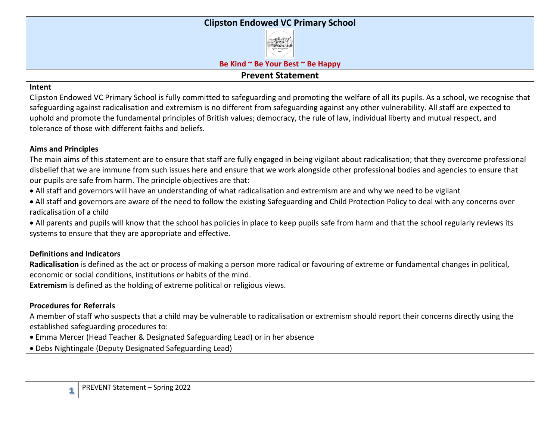## **Clipston Endowed VC Primary School**



**Be Kind ~ Be Your Best ~ Be Happy**

## **Prevent Statement**

#### **Intent**

Clipston Endowed VC Primary School is fully committed to safeguarding and promoting the welfare of all its pupils. As a school, we recognise that safeguarding against radicalisation and extremism is no different from safeguarding against any other vulnerability. All staff are expected to uphold and promote the fundamental principles of British values; democracy, the rule of law, individual liberty and mutual respect, and tolerance of those with different faiths and beliefs.

## **Aims and Principles**

The main aims of this statement are to ensure that staff are fully engaged in being vigilant about radicalisation; that they overcome professional disbelief that we are immune from such issues here and ensure that we work alongside other professional bodies and agencies to ensure that our pupils are safe from harm. The principle objectives are that:

- All staff and governors will have an understanding of what radicalisation and extremism are and why we need to be vigilant
- All staff and governors are aware of the need to follow the existing Safeguarding and Child Protection Policy to deal with any concerns over radicalisation of a child

• All parents and pupils will know that the school has policies in place to keep pupils safe from harm and that the school regularly reviews its systems to ensure that they are appropriate and effective.

# **Definitions and Indicators**

**Radicalisation** is defined as the act or process of making a person more radical or favouring of extreme or fundamental changes in political, economic or social conditions, institutions or habits of the mind.

**Extremism** is defined as the holding of extreme political or religious views.

# **Procedures for Referrals**

A member of staff who suspects that a child may be vulnerable to radicalisation or extremism should report their concerns directly using the established safeguarding procedures to:

- Emma Mercer (Head Teacher & Designated Safeguarding Lead) or in her absence
- Debs Nightingale (Deputy Designated Safeguarding Lead)